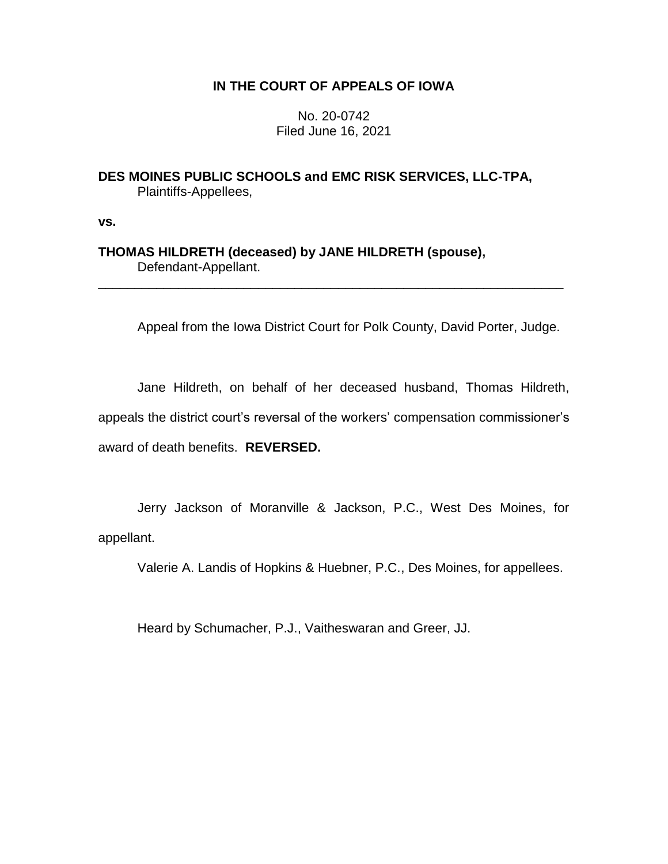# **IN THE COURT OF APPEALS OF IOWA**

No. 20-0742 Filed June 16, 2021

**DES MOINES PUBLIC SCHOOLS and EMC RISK SERVICES, LLC-TPA,** Plaintiffs-Appellees,

**vs.**

**THOMAS HILDRETH (deceased) by JANE HILDRETH (spouse),** Defendant-Appellant.

Appeal from the Iowa District Court for Polk County, David Porter, Judge.

\_\_\_\_\_\_\_\_\_\_\_\_\_\_\_\_\_\_\_\_\_\_\_\_\_\_\_\_\_\_\_\_\_\_\_\_\_\_\_\_\_\_\_\_\_\_\_\_\_\_\_\_\_\_\_\_\_\_\_\_\_\_\_\_

Jane Hildreth, on behalf of her deceased husband, Thomas Hildreth, appeals the district court's reversal of the workers' compensation commissioner's award of death benefits. **REVERSED.**

Jerry Jackson of Moranville & Jackson, P.C., West Des Moines, for appellant.

Valerie A. Landis of Hopkins & Huebner, P.C., Des Moines, for appellees.

Heard by Schumacher, P.J., Vaitheswaran and Greer, JJ.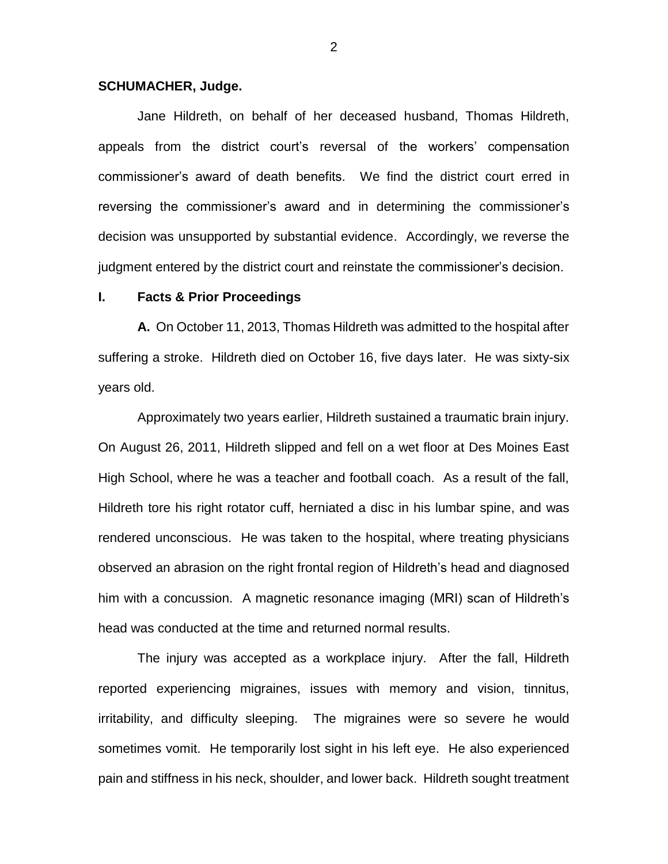#### **SCHUMACHER, Judge.**

Jane Hildreth, on behalf of her deceased husband, Thomas Hildreth, appeals from the district court's reversal of the workers' compensation commissioner's award of death benefits. We find the district court erred in reversing the commissioner's award and in determining the commissioner's decision was unsupported by substantial evidence. Accordingly, we reverse the judgment entered by the district court and reinstate the commissioner's decision.

#### **I. Facts & Prior Proceedings**

**A.** On October 11, 2013, Thomas Hildreth was admitted to the hospital after suffering a stroke. Hildreth died on October 16, five days later. He was sixty-six years old.

Approximately two years earlier, Hildreth sustained a traumatic brain injury. On August 26, 2011, Hildreth slipped and fell on a wet floor at Des Moines East High School, where he was a teacher and football coach. As a result of the fall, Hildreth tore his right rotator cuff, herniated a disc in his lumbar spine, and was rendered unconscious. He was taken to the hospital, where treating physicians observed an abrasion on the right frontal region of Hildreth's head and diagnosed him with a concussion. A magnetic resonance imaging (MRI) scan of Hildreth's head was conducted at the time and returned normal results.

The injury was accepted as a workplace injury. After the fall, Hildreth reported experiencing migraines, issues with memory and vision, tinnitus, irritability, and difficulty sleeping. The migraines were so severe he would sometimes vomit. He temporarily lost sight in his left eye. He also experienced pain and stiffness in his neck, shoulder, and lower back. Hildreth sought treatment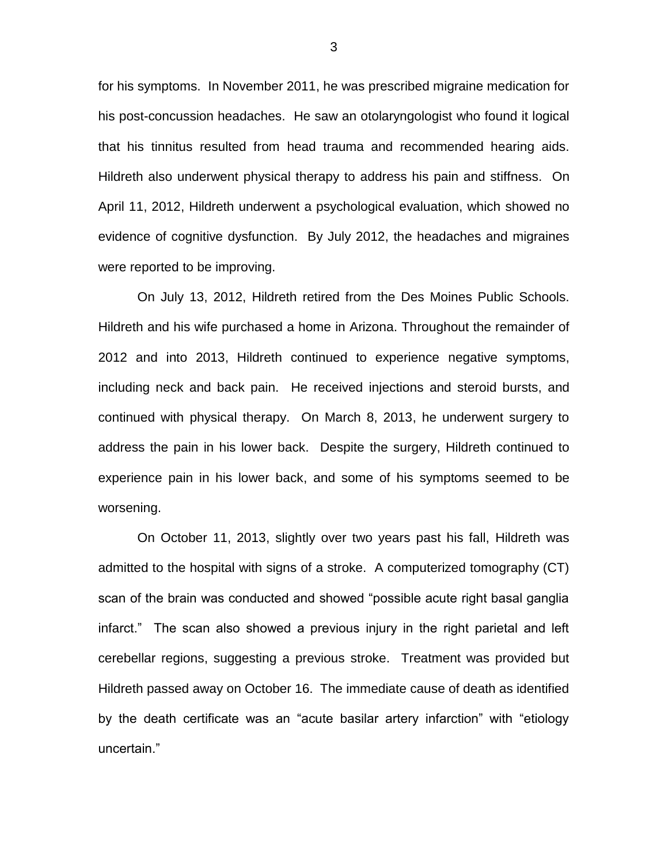for his symptoms. In November 2011, he was prescribed migraine medication for his post-concussion headaches. He saw an otolaryngologist who found it logical that his tinnitus resulted from head trauma and recommended hearing aids. Hildreth also underwent physical therapy to address his pain and stiffness. On April 11, 2012, Hildreth underwent a psychological evaluation, which showed no evidence of cognitive dysfunction. By July 2012, the headaches and migraines were reported to be improving.

On July 13, 2012, Hildreth retired from the Des Moines Public Schools. Hildreth and his wife purchased a home in Arizona. Throughout the remainder of 2012 and into 2013, Hildreth continued to experience negative symptoms, including neck and back pain. He received injections and steroid bursts, and continued with physical therapy. On March 8, 2013, he underwent surgery to address the pain in his lower back. Despite the surgery, Hildreth continued to experience pain in his lower back, and some of his symptoms seemed to be worsening.

On October 11, 2013, slightly over two years past his fall, Hildreth was admitted to the hospital with signs of a stroke. A computerized tomography (CT) scan of the brain was conducted and showed "possible acute right basal ganglia infarct." The scan also showed a previous injury in the right parietal and left cerebellar regions, suggesting a previous stroke. Treatment was provided but Hildreth passed away on October 16. The immediate cause of death as identified by the death certificate was an "acute basilar artery infarction" with "etiology uncertain."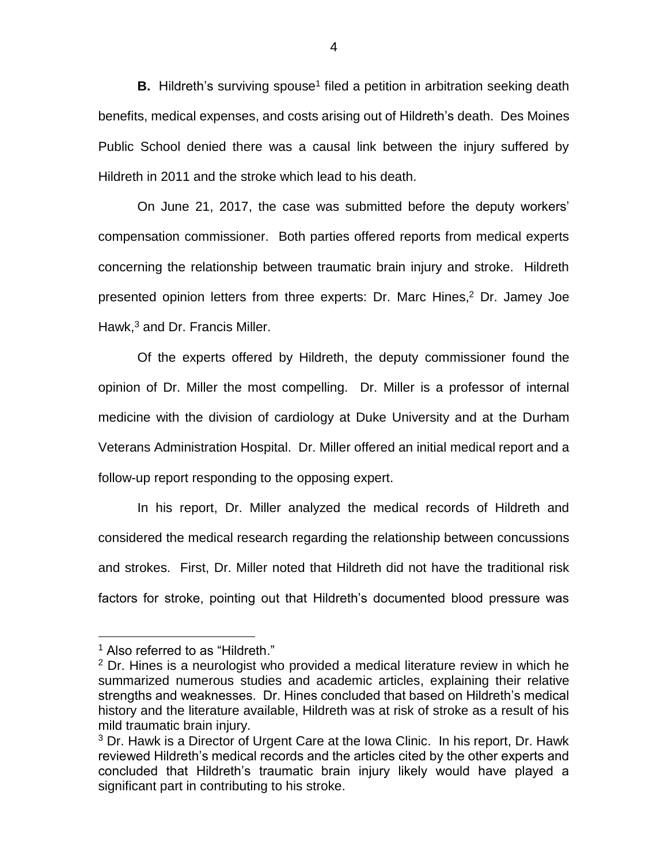**B.** Hildreth's surviving spouse<sup>1</sup> filed a petition in arbitration seeking death benefits, medical expenses, and costs arising out of Hildreth's death. Des Moines Public School denied there was a causal link between the injury suffered by Hildreth in 2011 and the stroke which lead to his death.

On June 21, 2017, the case was submitted before the deputy workers' compensation commissioner. Both parties offered reports from medical experts concerning the relationship between traumatic brain injury and stroke. Hildreth presented opinion letters from three experts: Dr. Marc Hines, <sup>2</sup> Dr. Jamey Joe Hawk, <sup>3</sup> and Dr. Francis Miller.

Of the experts offered by Hildreth, the deputy commissioner found the opinion of Dr. Miller the most compelling. Dr. Miller is a professor of internal medicine with the division of cardiology at Duke University and at the Durham Veterans Administration Hospital. Dr. Miller offered an initial medical report and a follow-up report responding to the opposing expert.

In his report, Dr. Miller analyzed the medical records of Hildreth and considered the medical research regarding the relationship between concussions and strokes. First, Dr. Miller noted that Hildreth did not have the traditional risk factors for stroke, pointing out that Hildreth's documented blood pressure was

<sup>&</sup>lt;sup>1</sup> Also referred to as "Hildreth."

 $2$  Dr. Hines is a neurologist who provided a medical literature review in which he summarized numerous studies and academic articles, explaining their relative strengths and weaknesses. Dr. Hines concluded that based on Hildreth's medical history and the literature available, Hildreth was at risk of stroke as a result of his mild traumatic brain injury.

 $3$  Dr. Hawk is a Director of Urgent Care at the Iowa Clinic. In his report, Dr. Hawk reviewed Hildreth's medical records and the articles cited by the other experts and concluded that Hildreth's traumatic brain injury likely would have played a significant part in contributing to his stroke.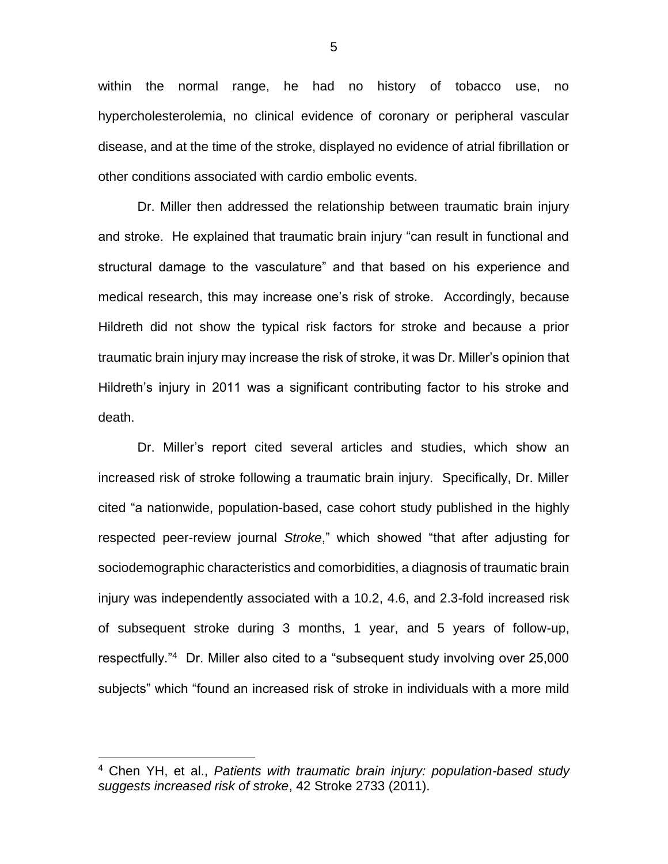within the normal range, he had no history of tobacco use, no hypercholesterolemia, no clinical evidence of coronary or peripheral vascular disease, and at the time of the stroke, displayed no evidence of atrial fibrillation or other conditions associated with cardio embolic events.

Dr. Miller then addressed the relationship between traumatic brain injury and stroke. He explained that traumatic brain injury "can result in functional and structural damage to the vasculature" and that based on his experience and medical research, this may increase one's risk of stroke. Accordingly, because Hildreth did not show the typical risk factors for stroke and because a prior traumatic brain injury may increase the risk of stroke, it was Dr. Miller's opinion that Hildreth's injury in 2011 was a significant contributing factor to his stroke and death.

Dr. Miller's report cited several articles and studies, which show an increased risk of stroke following a traumatic brain injury. Specifically, Dr. Miller cited "a nationwide, population-based, case cohort study published in the highly respected peer-review journal *Stroke*," which showed "that after adjusting for sociodemographic characteristics and comorbidities, a diagnosis of traumatic brain injury was independently associated with a 10.2, 4.6, and 2.3-fold increased risk of subsequent stroke during 3 months, 1 year, and 5 years of follow-up, respectfully."<sup>4</sup> Dr. Miller also cited to a "subsequent study involving over 25,000 subjects" which "found an increased risk of stroke in individuals with a more mild

 $\overline{a}$ 

<sup>4</sup> Chen YH, et al., *Patients with traumatic brain injury: population-based study suggests increased risk of stroke*, 42 Stroke 2733 (2011).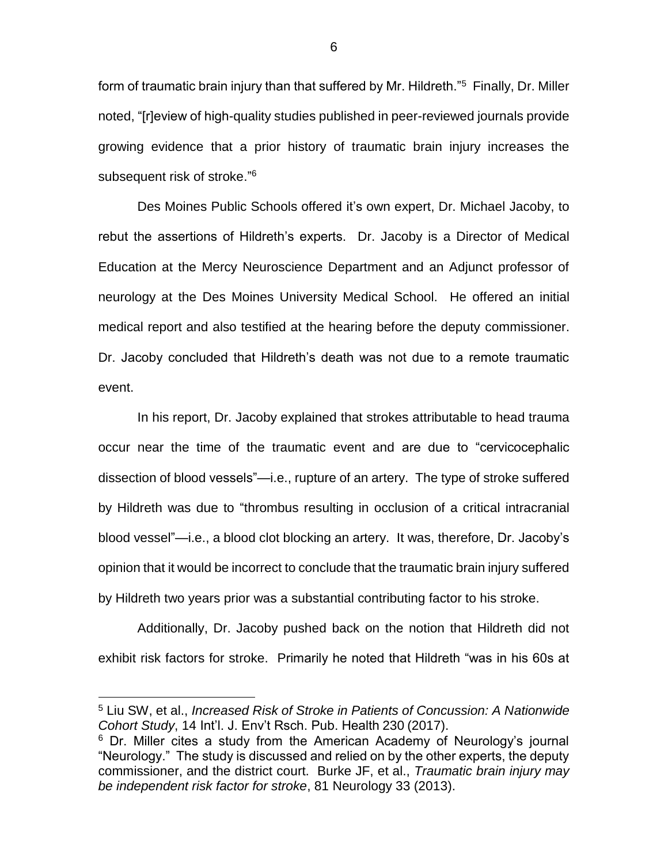form of traumatic brain injury than that suffered by Mr. Hildreth."<sup>5</sup> Finally, Dr. Miller noted, "[r]eview of high-quality studies published in peer-reviewed journals provide growing evidence that a prior history of traumatic brain injury increases the subsequent risk of stroke."<sup>6</sup>

Des Moines Public Schools offered it's own expert, Dr. Michael Jacoby, to rebut the assertions of Hildreth's experts. Dr. Jacoby is a Director of Medical Education at the Mercy Neuroscience Department and an Adjunct professor of neurology at the Des Moines University Medical School. He offered an initial medical report and also testified at the hearing before the deputy commissioner. Dr. Jacoby concluded that Hildreth's death was not due to a remote traumatic event.

In his report, Dr. Jacoby explained that strokes attributable to head trauma occur near the time of the traumatic event and are due to "cervicocephalic dissection of blood vessels"—i.e., rupture of an artery. The type of stroke suffered by Hildreth was due to "thrombus resulting in occlusion of a critical intracranial blood vessel"—i.e., a blood clot blocking an artery. It was, therefore, Dr. Jacoby's opinion that it would be incorrect to conclude that the traumatic brain injury suffered by Hildreth two years prior was a substantial contributing factor to his stroke.

Additionally, Dr. Jacoby pushed back on the notion that Hildreth did not exhibit risk factors for stroke. Primarily he noted that Hildreth "was in his 60s at

<sup>5</sup> Liu SW, et al., *Increased Risk of Stroke in Patients of Concussion: A Nationwide Cohort Study*, 14 Int'l. J. Env't Rsch. Pub. Health 230 (2017).

<sup>&</sup>lt;sup>6</sup> Dr. Miller cites a study from the American Academy of Neurology's journal "Neurology." The study is discussed and relied on by the other experts, the deputy commissioner, and the district court. Burke JF, et al., *Traumatic brain injury may be independent risk factor for stroke*, 81 Neurology 33 (2013).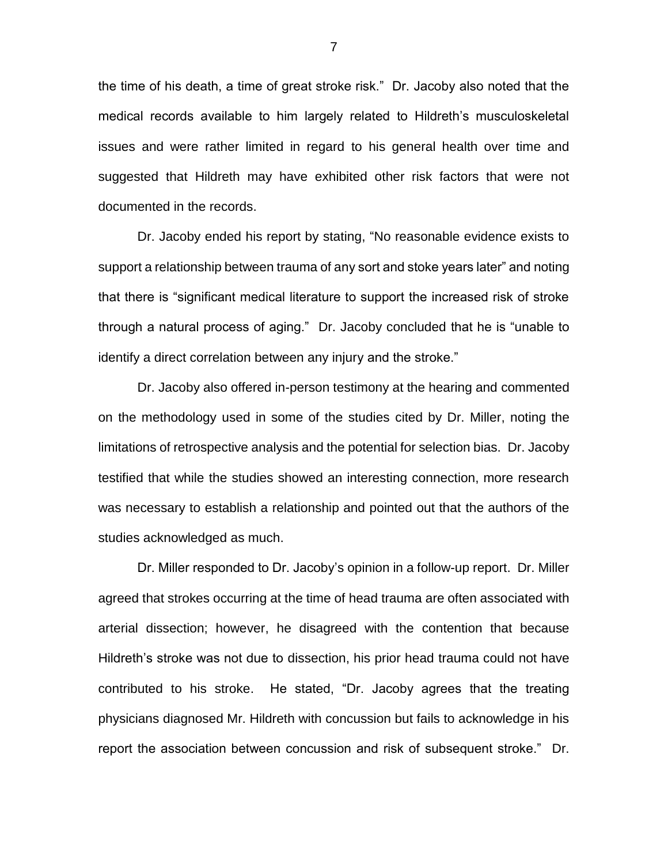the time of his death, a time of great stroke risk." Dr. Jacoby also noted that the medical records available to him largely related to Hildreth's musculoskeletal issues and were rather limited in regard to his general health over time and suggested that Hildreth may have exhibited other risk factors that were not documented in the records.

Dr. Jacoby ended his report by stating, "No reasonable evidence exists to support a relationship between trauma of any sort and stoke years later" and noting that there is "significant medical literature to support the increased risk of stroke through a natural process of aging." Dr. Jacoby concluded that he is "unable to identify a direct correlation between any injury and the stroke."

Dr. Jacoby also offered in-person testimony at the hearing and commented on the methodology used in some of the studies cited by Dr. Miller, noting the limitations of retrospective analysis and the potential for selection bias. Dr. Jacoby testified that while the studies showed an interesting connection, more research was necessary to establish a relationship and pointed out that the authors of the studies acknowledged as much.

Dr. Miller responded to Dr. Jacoby's opinion in a follow-up report. Dr. Miller agreed that strokes occurring at the time of head trauma are often associated with arterial dissection; however, he disagreed with the contention that because Hildreth's stroke was not due to dissection, his prior head trauma could not have contributed to his stroke. He stated, "Dr. Jacoby agrees that the treating physicians diagnosed Mr. Hildreth with concussion but fails to acknowledge in his report the association between concussion and risk of subsequent stroke." Dr.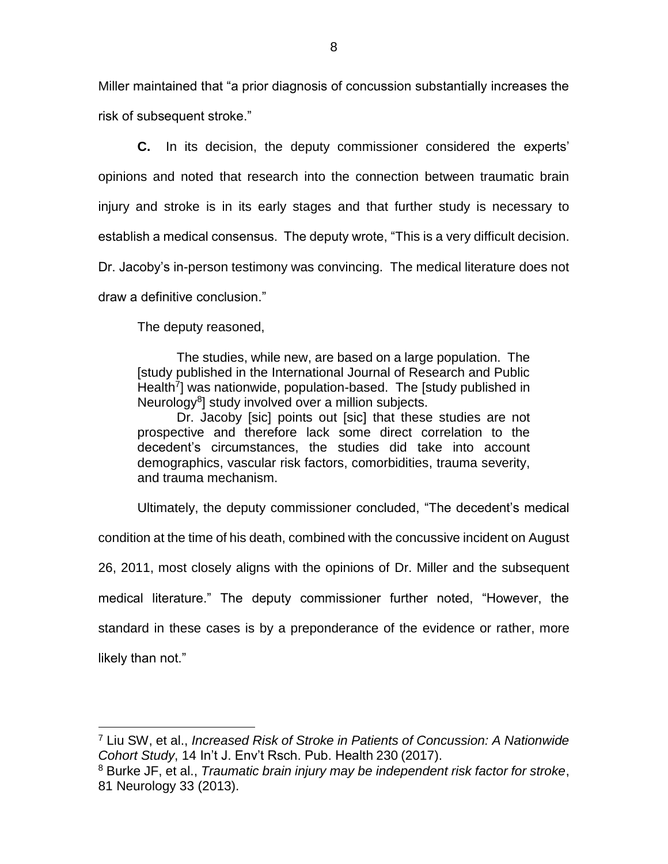Miller maintained that "a prior diagnosis of concussion substantially increases the risk of subsequent stroke."

**C.** In its decision, the deputy commissioner considered the experts' opinions and noted that research into the connection between traumatic brain injury and stroke is in its early stages and that further study is necessary to establish a medical consensus. The deputy wrote, "This is a very difficult decision. Dr. Jacoby's in-person testimony was convincing. The medical literature does not draw a definitive conclusion."

The deputy reasoned,

The studies, while new, are based on a large population. The [study published in the International Journal of Research and Public Health<sup>7</sup>] was nationwide, population-based. The [study published in Neurology<sup>8</sup>] study involved over a million subjects.

Dr. Jacoby [sic] points out [sic] that these studies are not prospective and therefore lack some direct correlation to the decedent's circumstances, the studies did take into account demographics, vascular risk factors, comorbidities, trauma severity, and trauma mechanism.

Ultimately, the deputy commissioner concluded, "The decedent's medical

condition at the time of his death, combined with the concussive incident on August

26, 2011, most closely aligns with the opinions of Dr. Miller and the subsequent

medical literature." The deputy commissioner further noted, "However, the

standard in these cases is by a preponderance of the evidence or rather, more

likely than not."

<sup>7</sup> Liu SW, et al., *Increased Risk of Stroke in Patients of Concussion: A Nationwide Cohort Study*, 14 In't J. Env't Rsch. Pub. Health 230 (2017).

<sup>8</sup> Burke JF, et al., *Traumatic brain injury may be independent risk factor for stroke*, 81 Neurology 33 (2013).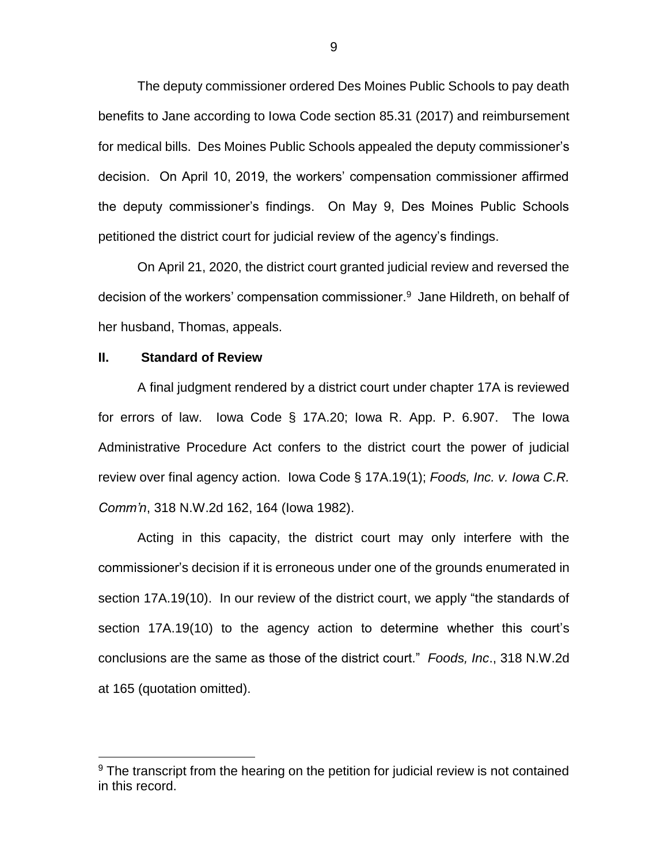The deputy commissioner ordered Des Moines Public Schools to pay death benefits to Jane according to Iowa Code section 85.31 (2017) and reimbursement for medical bills. Des Moines Public Schools appealed the deputy commissioner's decision. On April 10, 2019, the workers' compensation commissioner affirmed the deputy commissioner's findings. On May 9, Des Moines Public Schools petitioned the district court for judicial review of the agency's findings.

On April 21, 2020, the district court granted judicial review and reversed the decision of the workers' compensation commissioner.<sup>9</sup> Jane Hildreth, on behalf of her husband, Thomas, appeals.

# **II. Standard of Review**

 $\overline{a}$ 

A final judgment rendered by a district court under chapter 17A is reviewed for errors of law. Iowa Code § 17A.20; Iowa R. App. P. 6.907. The Iowa Administrative Procedure Act confers to the district court the power of judicial review over final agency action. Iowa Code § 17A.19(1); *Foods, Inc. v. Iowa C.R. Comm'n*, 318 N.W.2d 162, 164 (Iowa 1982).

Acting in this capacity, the district court may only interfere with the commissioner's decision if it is erroneous under one of the grounds enumerated in section 17A.19(10). In our review of the district court, we apply "the standards of section 17A.19(10) to the agency action to determine whether this court's conclusions are the same as those of the district court." *Foods, Inc*., 318 N.W.2d at 165 (quotation omitted).

 $9$  The transcript from the hearing on the petition for judicial review is not contained in this record.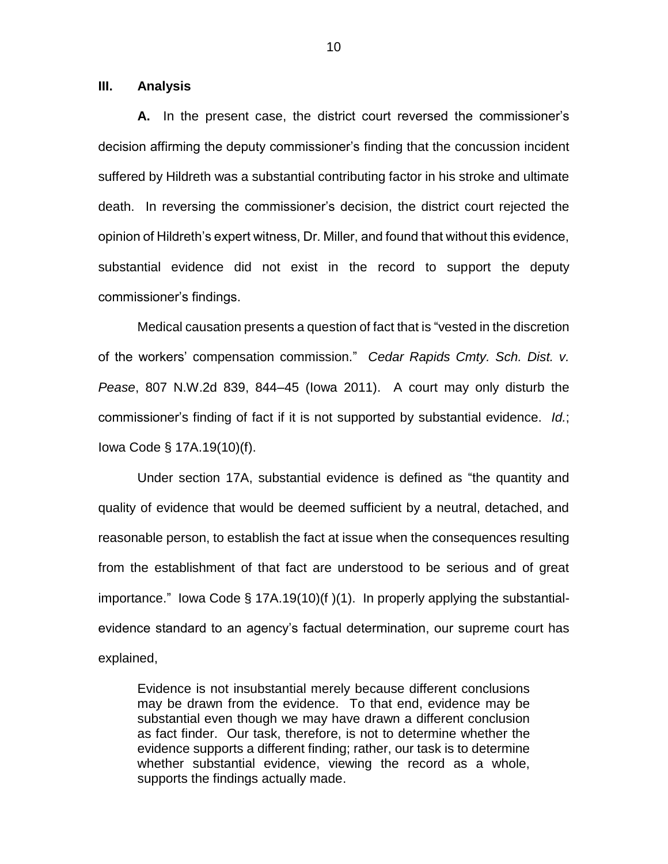## **III. Analysis**

**A.** In the present case, the district court reversed the commissioner's decision affirming the deputy commissioner's finding that the concussion incident suffered by Hildreth was a substantial contributing factor in his stroke and ultimate death. In reversing the commissioner's decision, the district court rejected the opinion of Hildreth's expert witness, Dr. Miller, and found that without this evidence, substantial evidence did not exist in the record to support the deputy commissioner's findings.

Medical causation presents a question of fact that is "vested in the discretion of the workers' compensation commission." *Cedar Rapids Cmty. Sch. Dist. v. Pease*, 807 N.W.2d 839, 844–45 (Iowa 2011). A court may only disturb the commissioner's finding of fact if it is not supported by substantial evidence. *Id.*; Iowa Code § 17A.19(10)(f).

Under section 17A, substantial evidence is defined as "the quantity and quality of evidence that would be deemed sufficient by a neutral, detached, and reasonable person, to establish the fact at issue when the consequences resulting from the establishment of that fact are understood to be serious and of great importance." Iowa Code § 17A.19(10)(f )(1). In properly applying the substantialevidence standard to an agency's factual determination, our supreme court has explained,

Evidence is not insubstantial merely because different conclusions may be drawn from the evidence. To that end, evidence may be substantial even though we may have drawn a different conclusion as fact finder. Our task, therefore, is not to determine whether the evidence supports a different finding; rather, our task is to determine whether substantial evidence, viewing the record as a whole, supports the findings actually made.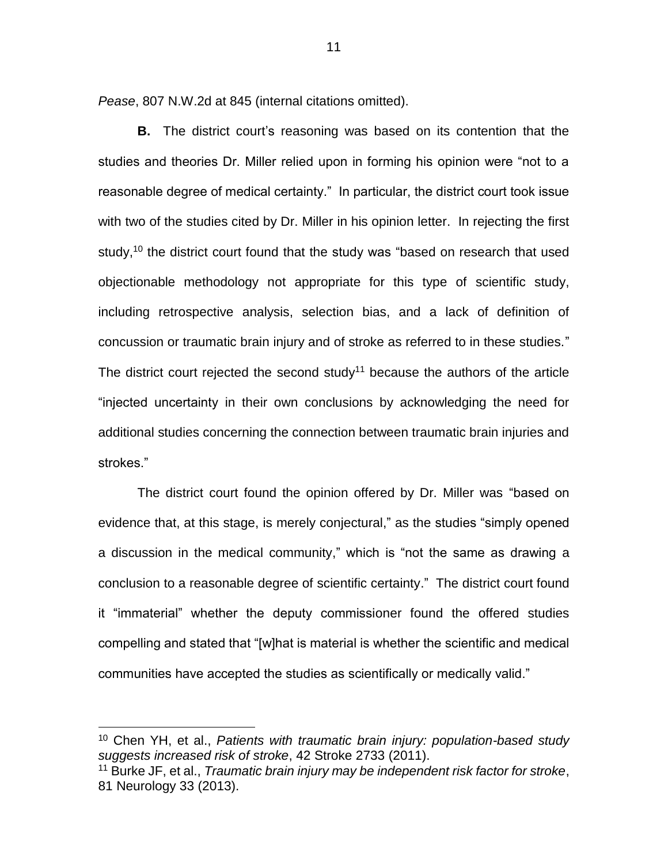*Pease*, 807 N.W.2d at 845 (internal citations omitted).

**B.** The district court's reasoning was based on its contention that the studies and theories Dr. Miller relied upon in forming his opinion were "not to a reasonable degree of medical certainty." In particular, the district court took issue with two of the studies cited by Dr. Miller in his opinion letter. In rejecting the first study,<sup>10</sup> the district court found that the study was "based on research that used objectionable methodology not appropriate for this type of scientific study, including retrospective analysis, selection bias, and a lack of definition of concussion or traumatic brain injury and of stroke as referred to in these studies." The district court rejected the second study<sup>11</sup> because the authors of the article "injected uncertainty in their own conclusions by acknowledging the need for additional studies concerning the connection between traumatic brain injuries and strokes."

The district court found the opinion offered by Dr. Miller was "based on evidence that, at this stage, is merely conjectural," as the studies "simply opened a discussion in the medical community," which is "not the same as drawing a conclusion to a reasonable degree of scientific certainty." The district court found it "immaterial" whether the deputy commissioner found the offered studies compelling and stated that "[w]hat is material is whether the scientific and medical communities have accepted the studies as scientifically or medically valid."

<sup>10</sup> Chen YH, et al., *Patients with traumatic brain injury: population-based study suggests increased risk of stroke*, 42 Stroke 2733 (2011).

<sup>11</sup> Burke JF, et al., *Traumatic brain injury may be independent risk factor for stroke*, 81 Neurology 33 (2013).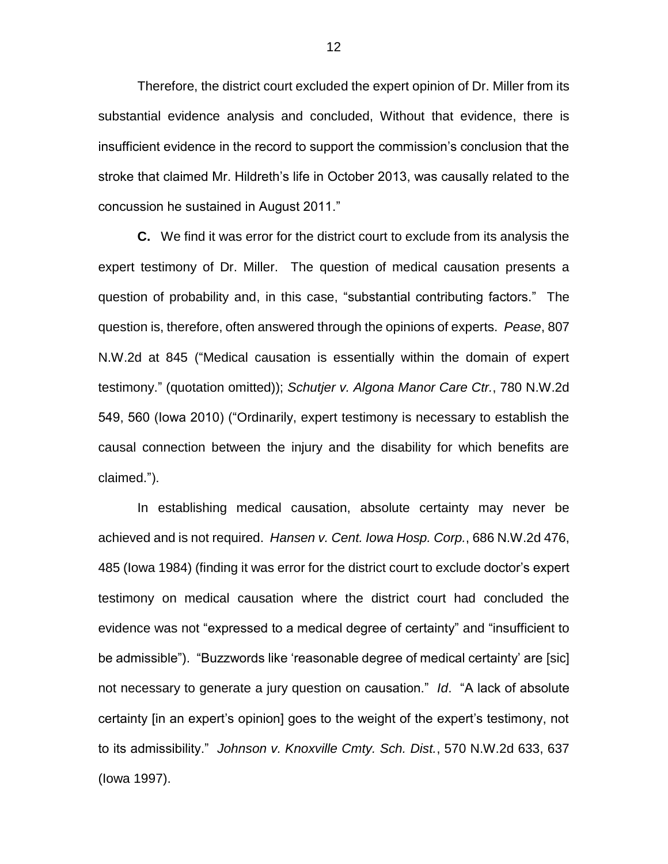Therefore, the district court excluded the expert opinion of Dr. Miller from its substantial evidence analysis and concluded, Without that evidence, there is insufficient evidence in the record to support the commission's conclusion that the stroke that claimed Mr. Hildreth's life in October 2013, was causally related to the concussion he sustained in August 2011."

**C.** We find it was error for the district court to exclude from its analysis the expert testimony of Dr. Miller. The question of medical causation presents a question of probability and, in this case, "substantial contributing factors." The question is, therefore, often answered through the opinions of experts. *Pease*, 807 N.W.2d at 845 ("Medical causation is essentially within the domain of expert testimony." (quotation omitted)); *Schutjer v. Algona Manor Care Ctr.*, 780 N.W.2d 549, 560 (Iowa 2010) ("Ordinarily, expert testimony is necessary to establish the causal connection between the injury and the disability for which benefits are claimed.").

In establishing medical causation, absolute certainty may never be achieved and is not required. *Hansen v. Cent. Iowa Hosp. Corp.*, 686 N.W.2d 476, 485 (Iowa 1984) (finding it was error for the district court to exclude doctor's expert testimony on medical causation where the district court had concluded the evidence was not "expressed to a medical degree of certainty" and "insufficient to be admissible"). "Buzzwords like 'reasonable degree of medical certainty' are [sic] not necessary to generate a jury question on causation." *Id*. "A lack of absolute certainty [in an expert's opinion] goes to the weight of the expert's testimony, not to its admissibility." *Johnson v. Knoxville Cmty. Sch. Dist.*, 570 N.W.2d 633, 637 (Iowa 1997).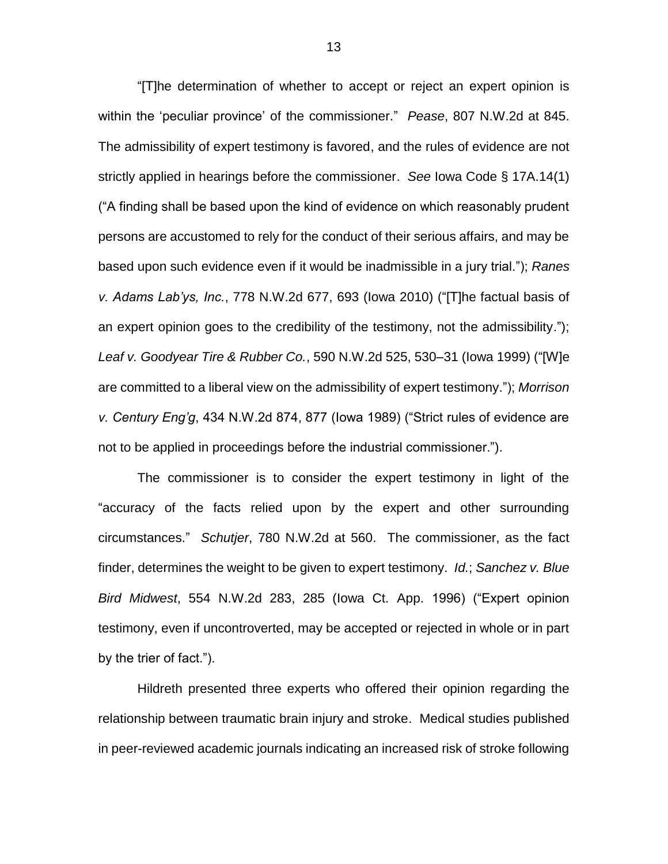"[T]he determination of whether to accept or reject an expert opinion is within the 'peculiar province' of the commissioner." *Pease*, 807 N.W.2d at 845. The admissibility of expert testimony is favored, and the rules of evidence are not strictly applied in hearings before the commissioner. *See* Iowa Code § 17A.14(1) ("A finding shall be based upon the kind of evidence on which reasonably prudent persons are accustomed to rely for the conduct of their serious affairs, and may be based upon such evidence even if it would be inadmissible in a jury trial."); *Ranes v. Adams Lab'ys, Inc.*, 778 N.W.2d 677, 693 (Iowa 2010) ("[T]he factual basis of an expert opinion goes to the credibility of the testimony, not the admissibility."); *Leaf v. Goodyear Tire & Rubber Co.*, 590 N.W.2d 525, 530–31 (Iowa 1999) ("[W]e are committed to a liberal view on the admissibility of expert testimony."); *Morrison v. Century Eng'g*, 434 N.W.2d 874, 877 (Iowa 1989) ("Strict rules of evidence are not to be applied in proceedings before the industrial commissioner.").

The commissioner is to consider the expert testimony in light of the "accuracy of the facts relied upon by the expert and other surrounding circumstances." *Schutjer*, 780 N.W.2d at 560. The commissioner, as the fact finder, determines the weight to be given to expert testimony. *Id.*; *Sanchez v. Blue Bird Midwest*, 554 N.W.2d 283, 285 (Iowa Ct. App. 1996) ("Expert opinion testimony, even if uncontroverted, may be accepted or rejected in whole or in part by the trier of fact.").

Hildreth presented three experts who offered their opinion regarding the relationship between traumatic brain injury and stroke. Medical studies published in peer-reviewed academic journals indicating an increased risk of stroke following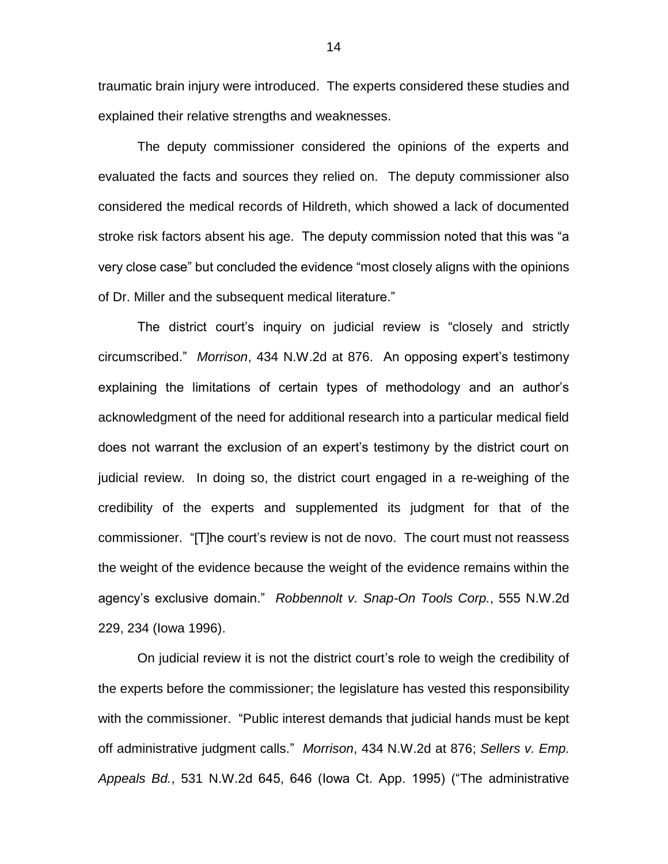traumatic brain injury were introduced. The experts considered these studies and explained their relative strengths and weaknesses.

The deputy commissioner considered the opinions of the experts and evaluated the facts and sources they relied on. The deputy commissioner also considered the medical records of Hildreth, which showed a lack of documented stroke risk factors absent his age. The deputy commission noted that this was "a very close case" but concluded the evidence "most closely aligns with the opinions of Dr. Miller and the subsequent medical literature."

The district court's inquiry on judicial review is "closely and strictly circumscribed." *Morrison*, 434 N.W.2d at 876. An opposing expert's testimony explaining the limitations of certain types of methodology and an author's acknowledgment of the need for additional research into a particular medical field does not warrant the exclusion of an expert's testimony by the district court on judicial review. In doing so, the district court engaged in a re-weighing of the credibility of the experts and supplemented its judgment for that of the commissioner. "[T]he court's review is not de novo. The court must not reassess the weight of the evidence because the weight of the evidence remains within the agency's exclusive domain." *Robbennolt v. Snap-On Tools Corp.*, 555 N.W.2d 229, 234 (Iowa 1996).

On judicial review it is not the district court's role to weigh the credibility of the experts before the commissioner; the legislature has vested this responsibility with the commissioner. "Public interest demands that judicial hands must be kept off administrative judgment calls." *Morrison*, 434 N.W.2d at 876; *Sellers v. Emp. Appeals Bd.*, 531 N.W.2d 645, 646 (Iowa Ct. App. 1995) ("The administrative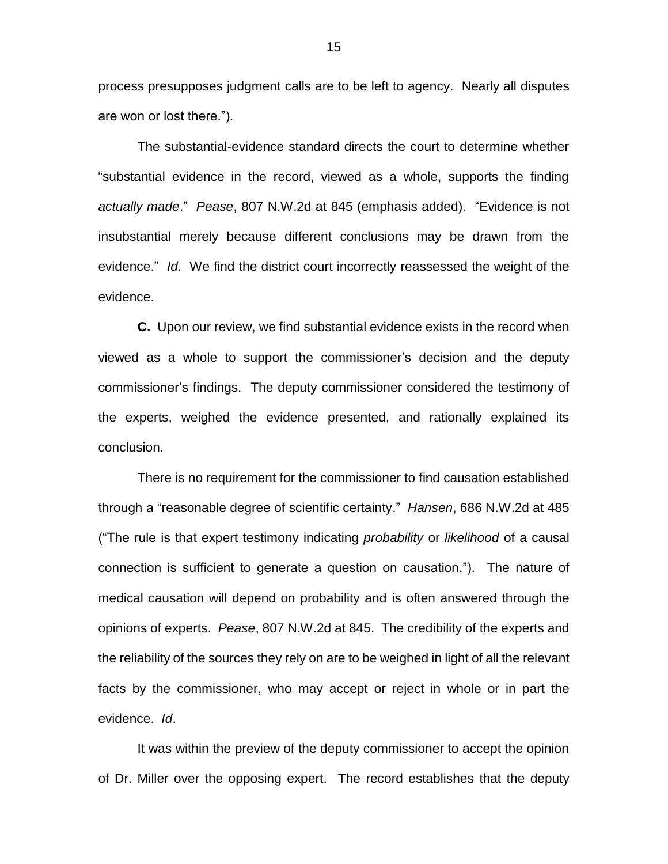process presupposes judgment calls are to be left to agency. Nearly all disputes are won or lost there.").

The substantial-evidence standard directs the court to determine whether "substantial evidence in the record, viewed as a whole, supports the finding *actually made*." *Pease*, 807 N.W.2d at 845 (emphasis added). "Evidence is not insubstantial merely because different conclusions may be drawn from the evidence." *Id.* We find the district court incorrectly reassessed the weight of the evidence.

**C.** Upon our review, we find substantial evidence exists in the record when viewed as a whole to support the commissioner's decision and the deputy commissioner's findings. The deputy commissioner considered the testimony of the experts, weighed the evidence presented, and rationally explained its conclusion.

There is no requirement for the commissioner to find causation established through a "reasonable degree of scientific certainty." *Hansen*, 686 N.W.2d at 485 ("The rule is that expert testimony indicating *probability* or *likelihood* of a causal connection is sufficient to generate a question on causation.").The nature of medical causation will depend on probability and is often answered through the opinions of experts. *Pease*, 807 N.W.2d at 845. The credibility of the experts and the reliability of the sources they rely on are to be weighed in light of all the relevant facts by the commissioner, who may accept or reject in whole or in part the evidence. *Id*.

It was within the preview of the deputy commissioner to accept the opinion of Dr. Miller over the opposing expert. The record establishes that the deputy